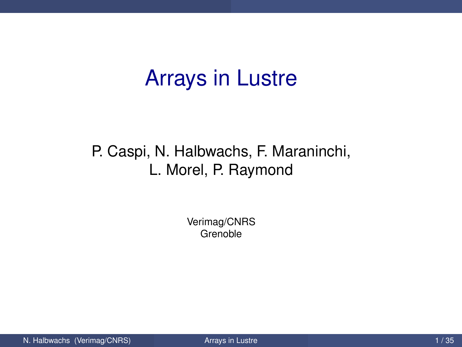## Arrays in Lustre

#### P. Caspi, N. Halbwachs, F. Maraninchi, L. Morel, P. Raymond

<span id="page-0-0"></span>Verimag/CNRS Grenoble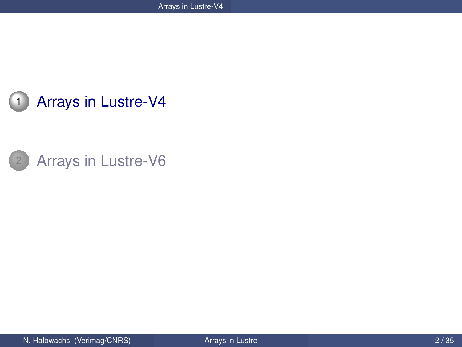

<span id="page-1-0"></span>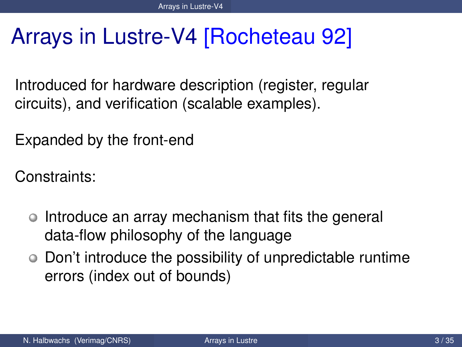# Arrays in Lustre-V4 [Rocheteau 92]

Introduced for hardware description (register, regular circuits), and verification (scalable examples).

Expanded by the front-end

Constraints:

- Introduce an array mechanism that fits the general data-flow philosophy of the language
- <span id="page-2-0"></span>Don't introduce the possibility of unpredictable runtime errors (index out of bounds)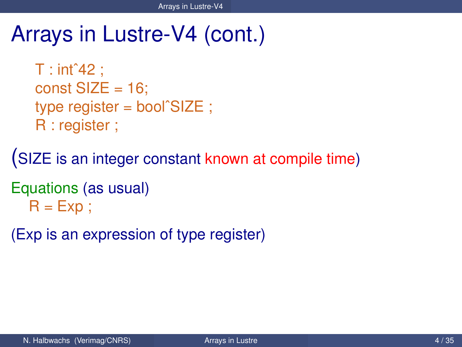```
T : \int 42:
const SIZE = 16;
type register = boolˆSIZE ;
R : register ;
```
(SIZE is an integer constant known at compile time)

```
Equations (as usual)
  R = Exp:
```
<span id="page-3-0"></span>(Exp is an expression of type register)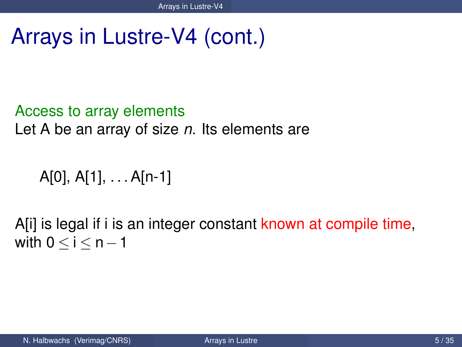### Access to array elements

Let A be an array of size *n*. Its elements are

<span id="page-4-0"></span>A[0], A[1], . . . A[n-1]

A[i] is legal if i is an integer constant known at compile time, with  $0 < i < n-1$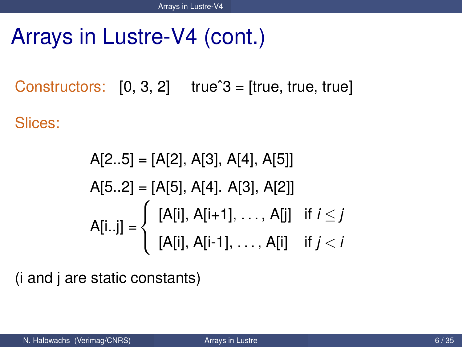Constructors:  $[0, 3, 2]$  true<sup> $3$ </sup> = [true, true, true] Slices:

<span id="page-5-0"></span>
$$
A[2..5] = [A[2], A[3], A[4], A[5]]
$$
  
\n
$$
A[5..2] = [A[5], A[4]. A[3], A[2]]
$$
  
\n
$$
A[i..j] = \begin{cases} [A[i], A[i+1], ..., A[j] & \text{if } i \le j \\ [A[i], A[i-1], ..., A[i] & \text{if } j < i \end{cases}
$$

(i and j are static constants)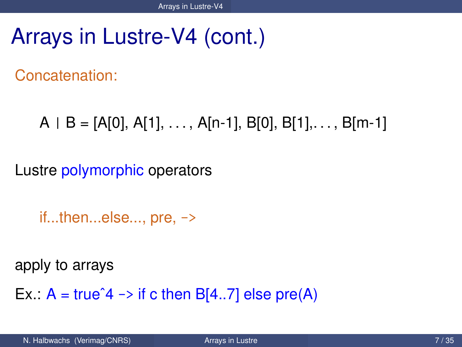Concatenation:

 $A \mid B = [A[0], A[1], \ldots, A[n-1], B[0], B[1], \ldots, B[m-1]$ 

Lustre polymorphic operators

<span id="page-6-0"></span>if...then...else..., pre, ->

apply to arrays

Ex.:  $A = true^4 \rightarrow it$  c then B[4..7] else pre(A)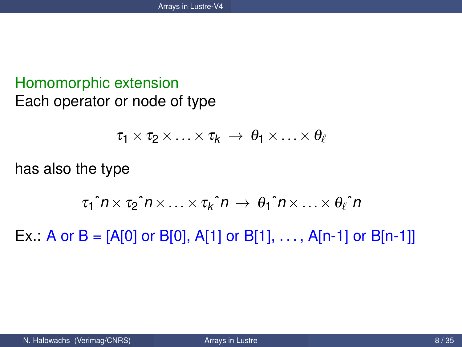#### Homomorphic extension Each operator or node of type

<span id="page-7-0"></span>
$$
\tau_1 \times \tau_2 \times \ldots \times \tau_k \rightarrow \theta_1 \times \ldots \times \theta_\ell
$$

has also the type

$$
\tau_1\hat{h}\times\tau_2\hat{h}\times\ldots\times\tau_k\hat{h}\rightarrow\theta_1\hat{h}\times\ldots\times\theta_\ell\hat{h}
$$

Ex.: A or B = [A[0] or B[0], A[1] or B[1], ..., A[n-1] or B[n-1]]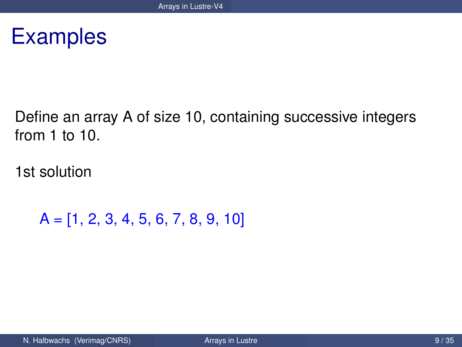### **Examples**

Define an array A of size 10, containing successive integers from 1 to 10.

1st solution

<span id="page-8-0"></span>A = [1, 2, 3, 4, 5, 6, 7, 8, 9, 10]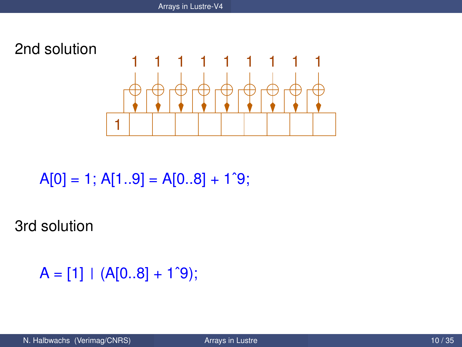

 $A[0] = 1$ ;  $A[1..9] = A[0..8] + 1^9$ ;

3rd solution

<span id="page-9-0"></span> $A = [1] | (A[0..8] + 1^{\circ}9);$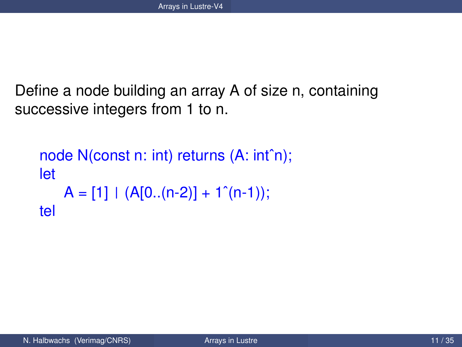Define a node building an array A of size n, containing successive integers from 1 to n.

```
node N(const n: int) returns (A: intˆn);
let
   A = [1] | (A[0..(n-2)] + 1^(n-1));tel
```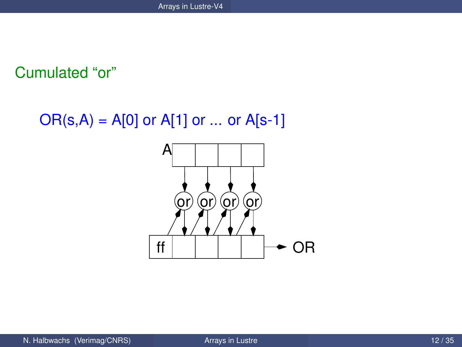#### Cumulated "or"

 $OR(s, A) = A[0]$  or  $A[1]$  or ... or  $A[s-1]$ 

<span id="page-11-0"></span>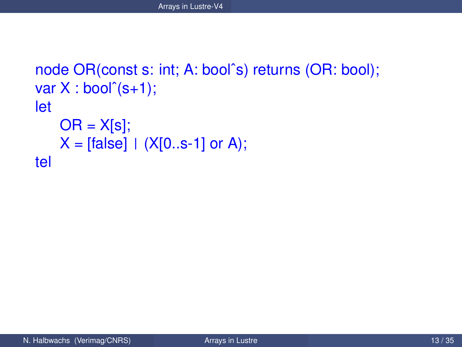```
node OR(const s: int; A: boolˆs) returns (OR: bool);
var X : bool<sup>°</sup>(s+1);let
    OR = X[s];
    X = [false] | (X[0..s-1] \text{ or } A);tel
```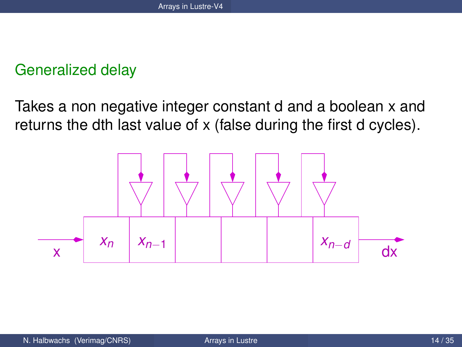#### Generalized delay

Takes a non negative integer constant d and a boolean x and returns the dth last value of x (false during the first d cycles).

<span id="page-13-0"></span>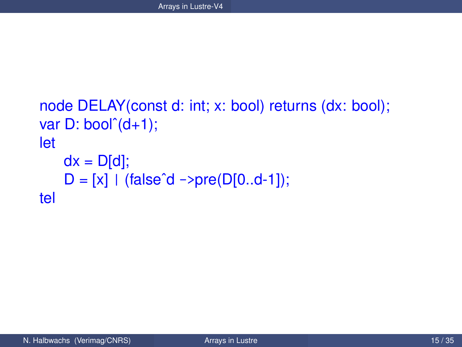```
node DELAY(const d: int; x: bool) returns (dx: bool);
var D: bool<sup>^</sup>(d+1);let
    dx = D[d];
    D = [x] | (false^d - > pre(D[0..d-1]);tel
```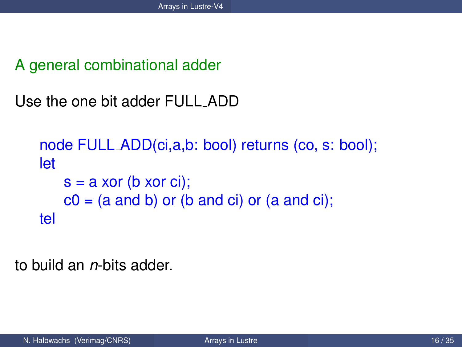A general combinational adder

Use the one bit adder FULL ADD

```
node FULL ADD(ci,a,b: bool) returns (co, s: bool);
let
   s = a xor (b xor ci);
   c0 = (a and b) or (b and ci) or (a and ci);
tel
```
<span id="page-15-0"></span>to build an *n*-bits adder.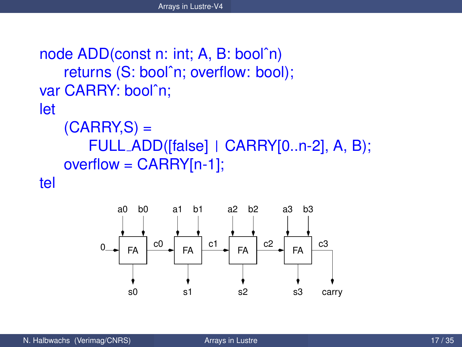```
node ADD(const n: int; A, B: boolˆn)
   returns (S: boolˆn; overflow: bool);
var CARRY: boolˆn;
let
```

```
(CARRY, S) =FULL ADD([false] | CARRY[0..n-2], A, B);
overflow = CARRY[n-1];
```
tel

<span id="page-16-0"></span>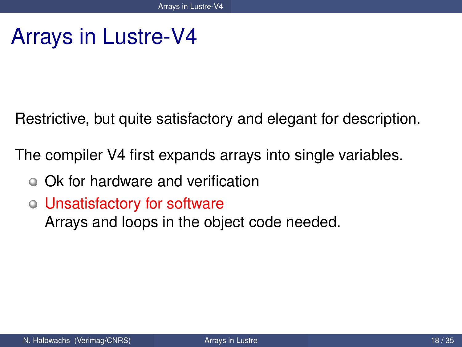## Arrays in Lustre-V4

Restrictive, but quite satisfactory and elegant for description.

The compiler V4 first expands arrays into single variables.

- Ok for hardware and verification
- Unsatisfactory for software

<span id="page-17-0"></span>Arrays and loops in the object code needed.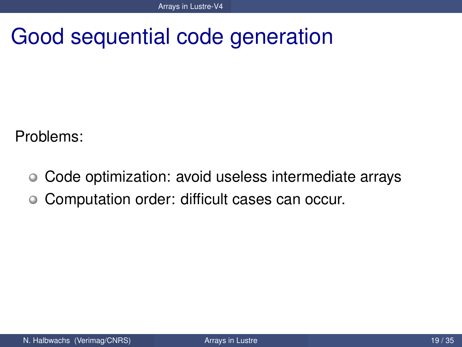Good sequential code generation

Problems:

- Code optimization: avoid useless intermediate arrays  $\circ$
- <span id="page-18-0"></span>Computation order: difficult cases can occur.  $\bullet$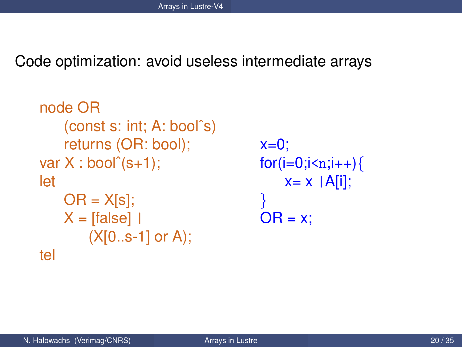Code optimization: avoid useless intermediate arrays

```
node OR
    (const s: int; A: boolˆs)
    returns (OR: bool);
var X : bool<sup>°</sup>(s+1);let
    OR = X[s];
    X = [false](X[0..s-1] or A);
tel
```

```
x=0;
for(i=0;i < n;i++){
    x = x |A[i];}
OR = x;
```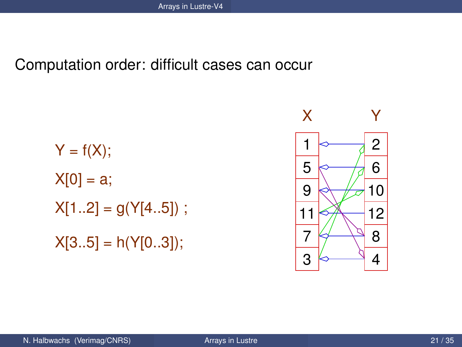#### Computation order: difficult cases can occur

$$
Y = f(X);
$$
  
\n
$$
X[0] = a;
$$
  
\n
$$
X[1..2] = g(Y[4..5]) ;
$$
  
\n
$$
X[3..5] = h(Y[0..3]);
$$

<span id="page-20-0"></span>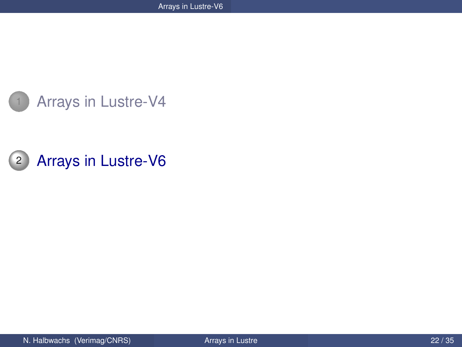

<span id="page-21-0"></span>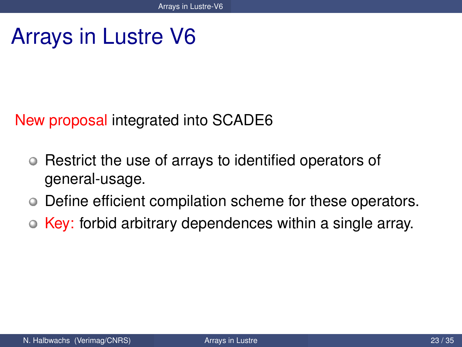# Arrays in Lustre V6

#### New proposal integrated into SCADE6

- Restrict the use of arrays to identified operators of  $\bullet$ general-usage.
- Define efficient compilation scheme for these operators.  $\bullet$
- <span id="page-22-0"></span>• Key: forbid arbitrary dependences within a single array.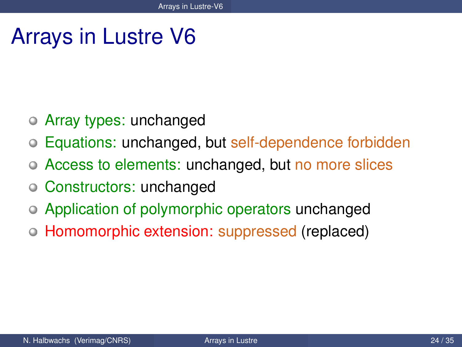# Arrays in Lustre V6

- Array types: unchanged
- Equations: unchanged, but self-dependence forbidden
- Access to elements: unchanged, but no more slices
- Constructors: unchanged
- Application of polymorphic operators unchanged
- <span id="page-23-0"></span>Homomorphic extension: suppressed (replaced)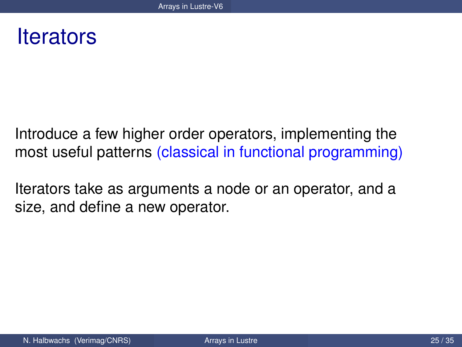### **Iterators**

Introduce a few higher order operators, implementing the most useful patterns (classical in functional programming)

<span id="page-24-0"></span>Iterators take as arguments a node or an operator, and a size, and define a new operator.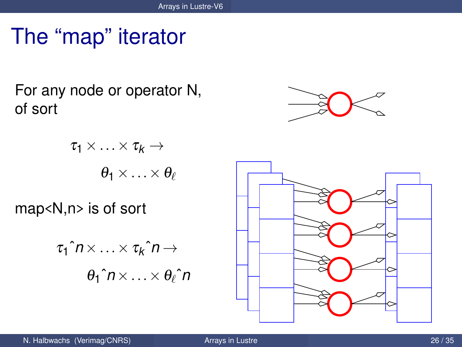# The "map" iterator

For any node or operator N, of sort

$$
\tau_1 \times \ldots \times \tau_k \to
$$

$$
\theta_1 \times \ldots \times \theta_\ell
$$

map<N,n> is of sort

$$
\tau_1 \hat{n} \times \ldots \times \tau_k \hat{n} \to
$$
  

$$
\theta_1 \hat{n} \times \ldots \times \theta_\ell \hat{n}
$$



<span id="page-25-0"></span>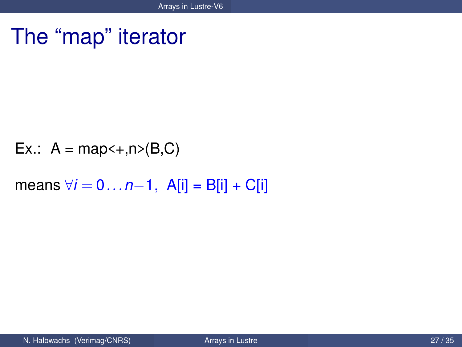### The "map" iterator

$$
Ex.: A = map <+, n > (B, C)
$$

<span id="page-26-0"></span>means  $\forall i = 0...n-1$ , A[i] = B[i] + C[i]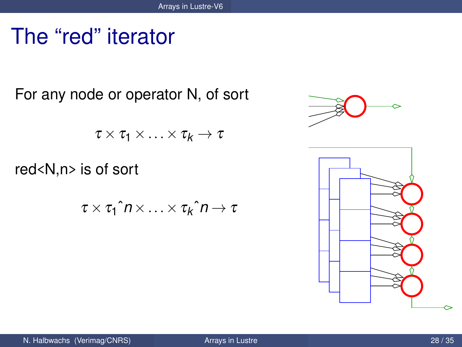## The "red" iterator

For any node or operator N, of sort

 $\tau \times \tau_1 \times \ldots \times \tau_k \to \tau$ 

red<N,n> is of sort

 $\tau \times \tau_1$ ˆ $n \times ... \times \tau_k$ ˆ $n \to \tau$ 



<span id="page-27-0"></span>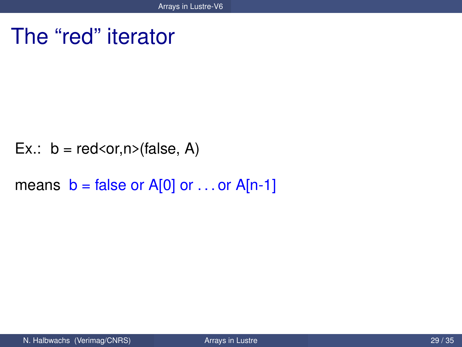### The "red" iterator

Ex.:  $b = red < or, n > (false, A)$ 

<span id="page-28-0"></span>means  $b = false$  or A[0] or ... or A[n-1]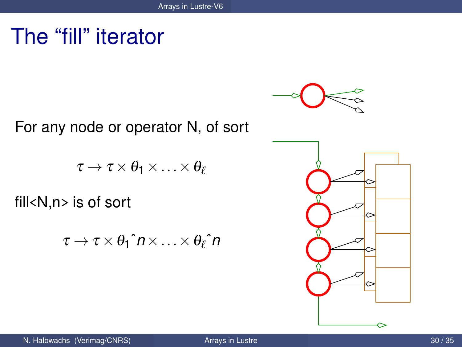### The "fill" iterator

For any node or operator N, of sort

$$
\tau \to \tau \times \theta_1 \times \ldots \times \theta_\ell
$$

fill<N,n> is of sort

$$
\tau \to \tau \times \theta_1 \hat{\mathsf{n}} \times \ldots \times \theta_\ell \hat{\mathsf{n}}
$$



<span id="page-29-0"></span>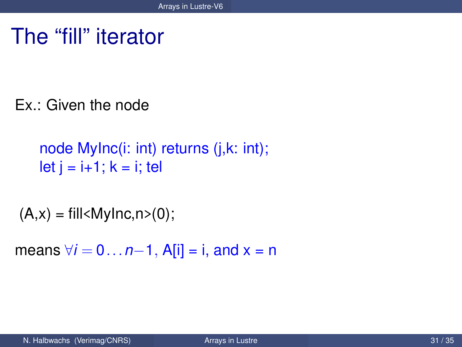### The "fill" iterator

Ex.: Given the node

```
node MyInc(i: int) returns (j,k: int);
let i = i+1; k = i; tel
```

```
(A,x) = \frac{fill}{M} = fill \leq M y \ln C, n \geq (0);
```
<span id="page-30-0"></span>means  $\forall i = 0...n-1$ , A[i] = i, and x = n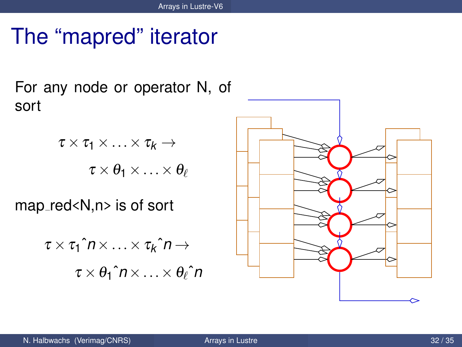## The "mapred" iterator

For any node or operator N, of sort

$$
\tau \times \tau_1 \times \ldots \times \tau_k \to
$$
  

$$
\tau \times \theta_1 \times \ldots \times \theta_\ell
$$

map\_red<N,n> is of sort

$$
\tau \times \tau_1 \hat{n} \times \ldots \times \tau_k \hat{n} \to
$$
  

$$
\tau \times \theta_1 \hat{n} \times \ldots \times \theta_\ell \hat{n}
$$

<span id="page-31-0"></span>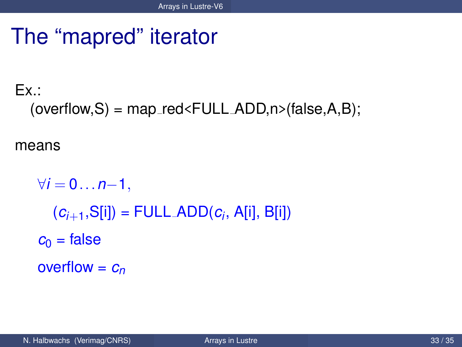## The "mapred" iterator

#### $Fx.$  $(overflow, S) = map_red\n\leq FULL_ADD, n\n\leq false, A, B);$

means

```
\forall i = 0 \dots n-1,(c_{i+1},S[i]) = \text{FULL} \text{ADD}(c_i,\text{ A[i]},\text{ B[i]})c_0 = false
overflow = cn
```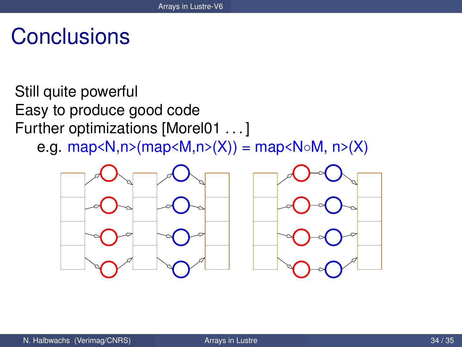## **Conclusions**

Still quite powerful Easy to produce good code Further optimizations [Morel01 . . . ] e.g. map< $N, n$  >  $(map < M, n$   $>(X)) = map < N \circ M, n$   $>(X)$ 



<span id="page-33-0"></span>